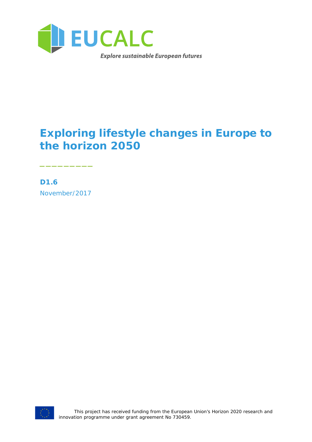

## **Exploring lifestyle changes in Europe to the horizon 2050**

**D1.6** November/2017

\_\_\_\_\_\_\_\_\_

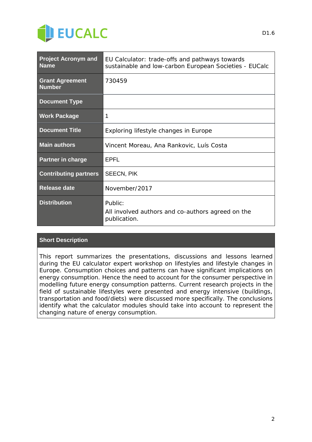

| <b>Project Acronym and</b><br><b>Name</b> | EU Calculator: trade-offs and pathways towards<br>sustainable and low-carbon European Societies - EUCalc |
|-------------------------------------------|----------------------------------------------------------------------------------------------------------|
| <b>Grant Agreement</b><br><b>Number</b>   | 730459                                                                                                   |
| <b>Document Type</b>                      |                                                                                                          |
| <b>Work Package</b>                       | 1                                                                                                        |
| <b>Document Title</b>                     | Exploring lifestyle changes in Europe                                                                    |
| <b>Main authors</b>                       | Vincent Moreau, Ana Rankovic, Luís Costa                                                                 |
| <b>Partner in charge</b>                  | <b>FPFI</b>                                                                                              |
| <b>Contributing partners</b>              | <b>SEECN, PIK</b>                                                                                        |
| <b>Release date</b>                       | November/2017                                                                                            |
| <b>Distribution</b>                       | Public:<br>All involved authors and co-authors agreed on the<br>publication.                             |

#### **Short Description**

This report summarizes the presentations, discussions and lessons learned during the EU calculator expert workshop on lifestyles and lifestyle changes in Europe. Consumption choices and patterns can have significant implications on energy consumption. Hence the need to account for the consumer perspective in modelling future energy consumption patterns. Current research projects in the field of sustainable lifestyles were presented and energy intensive (buildings, transportation and food/diets) were discussed more specifically. The conclusions identify what the calculator modules should take into account to represent the changing nature of energy consumption.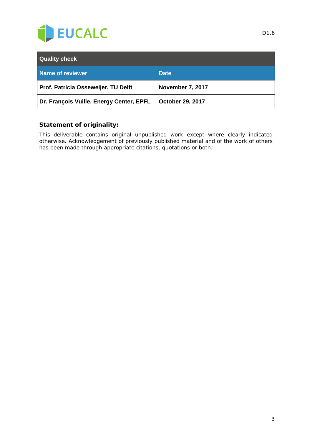

| <b>Quality check</b>                     |                         |
|------------------------------------------|-------------------------|
| <b>Name of reviewer</b>                  | <b>Date</b>             |
| Prof. Patricia Osseweijer, TU Delft      | November 7, 2017        |
| Dr. François Vuille, Energy Center, EPFL | <b>October 29, 2017</b> |

#### **Statement of originality:**

This deliverable contains original unpublished work except where clearly indicated otherwise. Acknowledgement of previously published material and of the work of others has been made through appropriate citations, quotations or both.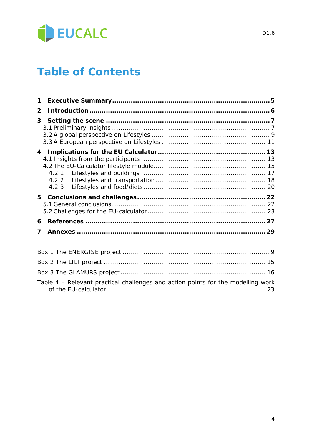

## **Table of Contents**

| $\mathbf 1$             |                                                                                  |  |
|-------------------------|----------------------------------------------------------------------------------|--|
| $\overline{2}$          |                                                                                  |  |
| 3                       |                                                                                  |  |
| $\overline{\mathbf{4}}$ |                                                                                  |  |
|                         |                                                                                  |  |
| 6                       |                                                                                  |  |
| 7                       |                                                                                  |  |
|                         |                                                                                  |  |
|                         |                                                                                  |  |
|                         |                                                                                  |  |
|                         | Table 4 - Relevant practical challenges and action points for the modelling work |  |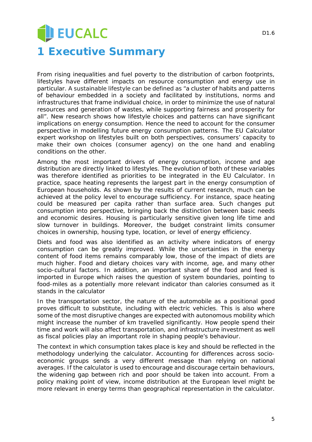## **U** EUCALC **1 Executive Summary**

From rising inequalities and fuel poverty to the distribution of carbon footprints,

lifestyles have different impacts on resource consumption and energy use in particular. A sustainable lifestyle can be defined as "*a cluster of habits and patterns of behaviour embedded in a society and facilitated by institutions, norms and infrastructures that frame individual choice, in order to minimize the use of natural resources and generation of wastes, while supporting fairness and prosperity for all*". New research shows how lifestyle choices and patterns can have significant implications on energy consumption. Hence the need to account for the consumer perspective in modelling future energy consumption patterns. The EU Calculator expert workshop on lifestyles built on both perspectives, consumers' capacity to make their own choices (consumer agency) on the one hand and enabling conditions on the other.

Among the most important drivers of energy consumption, income and age distribution are directly linked to lifestyles. The evolution of both of these variables was therefore identified as priorities to be integrated in the EU Calculator. In practice, space heating represents the largest part in the energy consumption of European households. As shown by the results of current research, much can be achieved at the policy level to encourage sufficiency. For instance, space heating could be measured per capita rather than surface area. Such changes put consumption into perspective, bringing back the distinction between basic needs and economic desires. Housing is particularly sensitive given long life time and slow turnover in buildings. Moreover, the budget constraint limits consumer choices in ownership, housing type, location, or level of energy efficiency.

Diets and food was also identified as an activity where indicators of energy consumption can be greatly improved. While the uncertainties in the energy content of food items remains comparably low, those of the impact of diets are much higher. Food and dietary choices vary with income, age, and many other socio-cultural factors. In addition, an important share of the food and feed is imported in Europe which raises the question of system boundaries, pointing to food-miles as a potentially more relevant indicator than calories consumed as it stands in the calculator

In the transportation sector, the nature of the automobile as a positional good proves difficult to substitute, including with electric vehicles. This is also where some of the most disruptive changes are expected with autonomous mobility which might increase the number of km travelled significantly. How people spend their time and work will also affect transportation, and infrastructure investment as well as fiscal policies play an important role in shaping people's behaviour.

The context in which consumption takes place is key and should be reflected in the methodology underlying the calculator. Accounting for differences across socioeconomic groups sends a very different message than relying on national averages. If the calculator is used to encourage and discourage certain behaviours, the widening gap between rich and poor should be taken into account. From a policy making point of view, income distribution at the European level might be more relevant in energy terms than geographical representation in the calculator.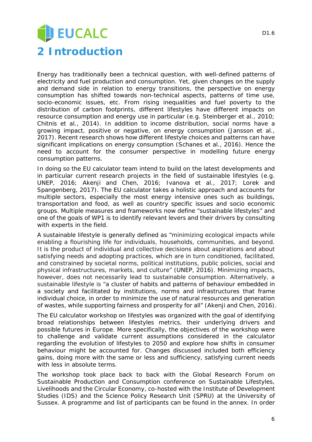# **JEUCALC 2 Introduction**

Energy has traditionally been a technical question, with well-defined patterns of electricity and fuel production and consumption. Yet, given changes on the supply and demand side in relation to energy transitions, the perspective on energy consumption has shifted towards non-technical aspects, patterns of time use, socio-economic issues, etc. From rising inequalities and fuel poverty to the distribution of carbon footprints, different lifestyles have different impacts on resource consumption and energy use in particular (e.g. Steinberger et al., 2010; Chitnis et al., 2014). In addition to income distribution, social norms have a growing impact, positive or negative, on energy consumption (Jansson et al., 2017). Recent research shows how different lifestyle choices and patterns can have significant implications on energy consumption (Schanes et al., 2016). Hence the need to account for the consumer perspective in modelling future energy consumption patterns.

In doing so the EU calculator team intend to build on the latest developments and in particular current research projects in the field of sustainable lifestyles (e.g. UNEP, 2016; Akenji and Chen, 2016; Ivanova et al., 2017; Lorek and Spangenberg, 2017). The EU calculator takes a holistic approach and accounts for multiple sectors, especially the most energy intensive ones such as buildings, transportation and food, as well as country specific issues and socio economic groups. Multiple measures and frameworks now define "sustainable lifestyles" and one of the goals of WP1 is to identify relevant levers and their drivers by consulting with experts in the field.

A sustainable lifestyle is generally defined as "*minimizing ecological impacts while enabling a flourishing life for individuals, households, communities, and beyond. It is the product of individual and collective decisions about aspirations and about satisfying needs and adopting practices, which are in turn conditioned, facilitated, and constrained by societal norms, political institutions, public policies, social and physical infrastructures, markets, and culture*" (UNEP, 2016). Minimizing impacts, however, does not necessarily lead to sustainable consumption. Alternatively, a sustainable lifestyle is "*a cluster of habits and patterns of behaviour embedded in a society and facilitated by institutions, norms and infrastructures that frame individual choice, in order to minimize the use of natural resources and generation of wastes, while supporting fairness and prosperity for all*" (Akenji and Chen, 2016).

The EU calculator workshop on lifestyles was organized with the goal of identifying broad relationships between lifestyles metrics, their underlying drivers and possible futures in Europe. More specifically, the objectives of the workshop were to challenge and validate current assumptions considered in the calculator regarding the evolution of lifestyles to 2050 and explore how shifts in consumer behaviour might be accounted for. Changes discussed included both efficiency gains, doing more with the same or less and sufficiency, satisfying current needs with less in absolute terms.

The workshop took place back to back with the Global Research Forum on *Sustainable Production and Consumption conference on Sustainable Lifestyles, Livelihoods and the Circular Economy*, co-hosted with the Institute of Development Studies (IDS) and the Science Policy Research Unit (SPRU) at the University of Sussex. A programme and list of participants can be found in the annex. In order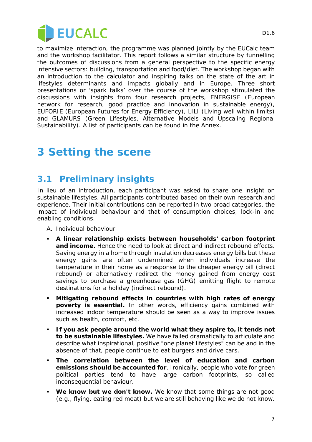

to maximize interaction, the programme was planned jointly by the EUCalc team and the workshop facilitator. This report follows a similar structure by funnelling the outcomes of discussions from a general perspective to the specific energy intensive sectors: building, transportation and food/diet. The workshop began with an introduction to the calculator and inspiring talks on the state of the art in lifestyles determinants and impacts globally and in Europe. Three short presentations or 'spark talks' over the course of the workshop stimulated the discussions with insights from four research projects, ENERGISE (European network for research, good practice and innovation in sustainable energy), EUFORIE (European Futures for Energy Efficiency), LILI (Living well within limits) and GLAMURS (Green Lifestyles, Alternative Models and Upscaling Regional Sustainability). A list of participants can be found in the Annex.

## **3 Setting the scene**

## **3.1 Preliminary insights**

In lieu of an introduction, each participant was asked to share one insight on sustainable lifestyles. All participants contributed based on their own research and experience. Their initial contributions can be reported in two broad categories, the impact of individual behaviour and that of consumption choices, lock-in and enabling conditions.

- A. Individual behaviour
- **A linear relationship exists between households' carbon footprint and income.** Hence the need to look at direct and indirect rebound effects. Saving energy in a home through insulation decreases energy bills but these energy gains are often undermined when individuals increase the temperature in their home as a response to the cheaper energy bill (direct rebound) or alternatively redirect the money gained from energy cost savings to purchase a greenhouse gas (GHG) emitting flight to remote destinations for a holiday (indirect rebound).
- **Mitigating rebound effects in countries with high rates of energy poverty is essential.** In other words, efficiency gains combined with increased indoor temperature should be seen as a way to improve issues such as health, comfort, etc.
- **If you ask people around the world what they aspire to, it tends not to be sustainable lifestyles.** We have failed dramatically to articulate and describe what inspirational, positive "one planet lifestyles" can be and in the absence of that, people continue to eat burgers and drive cars.
- **The correlation between the level of education and carbon emissions should be accounted for**. Ironically, people who vote for green political parties tend to have large carbon footprints, so called inconsequential behaviour.
- **We know but we don't know.** We know that some things are not good (e.g., flying, eating red meat) but we are still behaving like we do not know.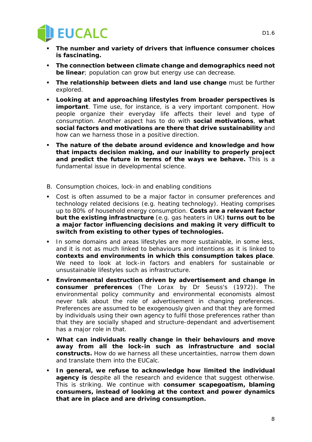

- **The number and variety of drivers that influence consumer choices is fascinating.**
- **The connection between climate change and demographics need not be linear**; population can grow but energy use can decrease.
- **The relationship between diets and land use change** must be further explored.
- **Looking at and approaching lifestyles from broader perspectives is important**. Time use, for instance, is a very important component. How people organize their everyday life affects their level and type of consumption. Another aspect has to do with **social motivations**, **what social factors and motivations are there that drive sustainability** and how can we harness those in a positive direction.
- **The nature of the debate around evidence and knowledge and how that impacts decision making, and our inability to properly project and predict the future in terms of the ways we behave.** This is a fundamental issue in developmental science.
- B. Consumption choices, lock-in and enabling conditions
- Cost is often assumed to be a major factor in consumer preferences and technology related decisions (e.g. heating technology). Heating comprises up to 80% of household energy consumption. **Costs are a relevant factor but the existing infrastructure** (e.g. gas heaters in UK) **turns out to be a major factor influencing decisions and making it very difficult to switch from existing to other types of technologies.**
- In some domains and areas lifestyles are more sustainable, in some less, and it is not as much linked to behaviours and intentions as it is linked to **contexts and environments in which this consumption takes place**. We need to look at lock-in factors and enablers for sustainable or unsustainable lifestyles such as infrastructure.
- **Environmental destruction driven by advertisement and change in consumer preferences** (The Lorax by Dr Seuss's (1972)). The environmental policy community and environmental economists almost never talk about the role of advertisement in changing preferences. Preferences are assumed to be exogenously given and that they are formed by individuals using their own agency to fulfil those preferences rather than that they are socially shaped and structure-dependant and advertisement has a major role in that.
- **What can individuals really change in their behaviours and move away from all the lock-in such as infrastructure and social constructs.** How do we harness all these uncertainties, narrow them down and translate them into the EUCalc.
- **In general, we refuse to acknowledge how limited the individual agency is** despite all the research and evidence that suggest otherwise. This is striking. We continue with **consumer scapegoatism, blaming consumers, instead of looking at the context and power dynamics that are in place and are driving consumption.**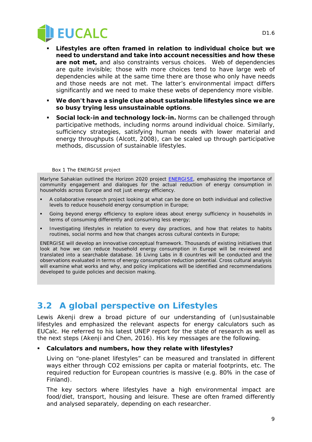

- **Lifestyles are often framed in relation to individual choice but we need to understand and take into account necessities and how these are not met,** and also constraints versus choices. Web of dependencies are quite invisible; those with more choices tend to have large web of dependencies while at the same time there are those who only have needs and those needs are not met. The latter's environmental impact differs significantly and we need to make these webs of dependency more visible.
- **We don't have a single clue about sustainable lifestyles since we are so busy trying less unsustainable options**.
- **Social lock-in and technology lock-in.** Norms can be challenged through participative methods, including norms around individual choice. Similarly, sufficiency strategies, satisfying human needs with lower material and energy throughputs (Alcott, 2008), can be scaled up through participative methods, discussion of sustainable lifestyles.

#### *Box 1 The ENERGISE project*

Marlyne Sahakian outlined the Horizon 2020 project **ENERGISE**, emphasizing the importance of community engagement and dialogues for the actual reduction of energy consumption in households across Europe and not just energy efficiency.

- A collaborative research project looking at what can be done on both individual and collective levels to reduce household energy consumption in Europe;
- Going beyond energy efficiency to explore ideas about energy sufficiency in households in terms of consuming differently and consuming less energy;
- Investigating lifestyles in relation to every day practices, and how that relates to habits routines, social norms and how that changes across cultural contexts in Europe;

ENERGISE will develop an innovative conceptual framework. Thousands of existing initiatives that look at how we can reduce household energy consumption in Europe will be reviewed and translated into a searchable database. 16 Living Labs in 8 countries will be conducted and the observations evaluated in terms of energy consumption reduction potential. Cross cultural analysis will examine what works and why, and policy implications will be identified and recommendations developed to guide policies and decision making.

### **3.2 A global perspective on Lifestyles**

Lewis Akenji drew a broad picture of our understanding of (un)sustainable lifestyles and emphasized the relevant aspects for energy calculators such as EUCalc. He referred to his latest UNEP report for the state of research as well as the next steps (Akenji and Chen, 2016). His key messages are the following.

#### **Calculators and numbers, how they relate with lifestyles?**

Living on "one-planet lifestyles" can be measured and translated in different ways either through CO2 emissions per capita or material footprints, etc. The required reduction for European countries is massive (e.g. 80% in the case of Finland).

The key sectors where lifestyles have a high environmental impact are food/diet, transport, housing and leisure. These are often framed differently and analysed separately, depending on each researcher.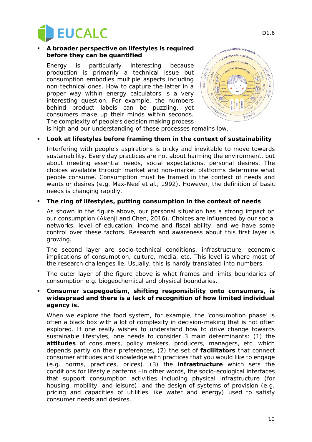

#### **A broader perspective on lifestyles is required before they can be quantified**

Energy is particularly interesting because production is primarily a technical issue but consumption embodies multiple aspects including non-technical ones. How to capture the latter in a proper way within energy calculators is a very interesting question. For example, the numbers behind product labels can be puzzling, yet consumers make up their minds within seconds. The complexity of people's decision making process



is high and our understanding of these processes remains low.

#### **Look at lifestyles before framing them in the context of sustainability**

Interfering with people's aspirations is tricky and inevitable to move towards sustainability. Every day practices are not about harming the environment, but about meeting essential needs, social expectations, personal desires. The choices available through market and non-market platforms determine what people consume. Consumption must be framed in the context of needs and wants or desires (e.g. Max-Neef et al., 1992). However, the definition of basic needs is changing rapidly.

#### **The ring of lifestyles, putting consumption in the context of needs**

As shown in the figure above, our *personal situation* has a strong impact on our consumption (Akenji and Chen, 2016). Choices are influenced by our social networks, level of education, income and fiscal ability, and we have some control over these factors. Research and awareness about this first layer is growing.

The second layer are *socio-technical conditions*, infrastructure, economic implications of consumption, culture, media, etc. This level is where most of the research challenges lie. Usually, this is hardly translated into numbers.

The outer layer of the figure above is what frames and limits *boundaries of consumption* e.g. biogeochemical and physical boundaries.

#### **Consumer** *scapegoatism***, shifting responsibility onto consumers, is widespread and there is a lack of recognition of how limited individual agency is.**

When we explore the food system, for example, the 'consumption phase' is often a black box with a lot of complexity in decision-making that is not often explored. If one really wishes to understand how to drive change towards sustainable lifestyles, one needs to consider 3 main determinants: (1) the **attitudes** of consumers, policy makers, producers, managers, etc. which depends partly on their preferences, (2) the set of **facilitators** that connect consumer attitudes and knowledge with practices that you would like to engage (e.g. norms, practices, prices). (3) the **infrastructure** which sets the conditions for lifestyle patterns –in other words, the socio-ecological interfaces that support consumption activities including physical infrastructure (for housing, mobility, and leisure), and the design of systems of provision (e.g. pricing and capacities of utilities like water and energy) used to satisfy consumer needs and desires.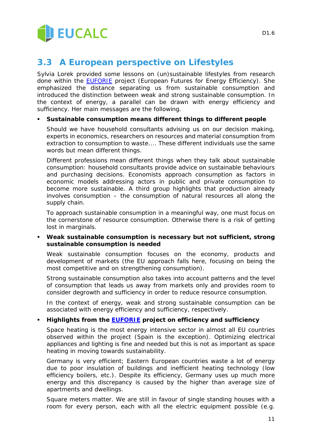

## **3.3 A European perspective on Lifestyles**

Sylvia Lorek provided some lessons on (un)sustainable lifestyles from research done within the **EUFORIE** project (European Futures for Energy Efficiency). She emphasized the distance separating us from sustainable consumption and introduced the distinction between weak and strong sustainable consumption. In the context of energy, a parallel can be drawn with energy efficiency and sufficiency. Her main messages are the following.

#### **Sustainable consumption means different things to different people**

Should we have household consultants advising us on our decision making, experts in economics, researchers on resources and material consumption from extraction to consumption to waste.... These different individuals use the same words but mean different things.

Different professions mean different things when they talk about sustainable consumption: household consultants provide advice on sustainable behaviours and purchasing decisions. Economists approach consumption as factors in economic models addressing actors in public and private consumption to become more sustainable. A third group highlights that production already involves consumption – the consumption of natural resources all along the supply chain.

To approach sustainable consumption in a meaningful way, one must focus on the cornerstone of resource consumption. Otherwise there is a risk of getting lost in marginals.

#### **Weak sustainable consumption is necessary but not sufficient, strong sustainable consumption is needed**

Weak sustainable consumption focuses on the economy, products and development of markets (the EU approach falls here, focusing on being the most competitive and on strengthening consumption).

Strong sustainable consumption also takes into account patterns and the level of consumption that leads us away from markets only and provides room to consider degrowth and sufficiency in order to reduce resource consumption.

In the context of energy, weak and strong sustainable consumption can be associated with energy efficiency and sufficiency, respectively.

#### **Highlights from the [EUFORIE](http://www.utu.fi/en/units/euforie/Pages/home.aspx) project on efficiency and sufficiency**

Space heating is the most energy intensive sector in almost all EU countries observed within the project (Spain is the exception). Optimizing electrical appliances and lighting is fine and needed but this is not as important as space heating in moving towards sustainability.

Germany is very efficient; Eastern European countries waste a lot of energy due to poor insulation of buildings and inefficient heating technology (low efficiency boilers, etc.). Despite its efficiency, Germany uses up much more energy and this discrepancy is caused by the higher than average size of apartments and dwellings.

Square meters matter. We are still in favour of single standing houses with a room for every person, each with all the electric equipment possible (e.g.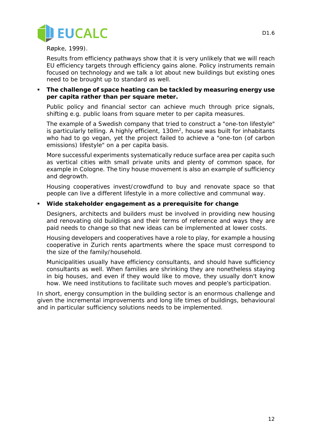

Røpke, 1999).

Results from efficiency pathways show that it is very unlikely that we will reach EU efficiency targets through efficiency gains alone. Policy instruments remain focused on technology and we talk a lot about new buildings but existing ones need to be brought up to standard as well.

 **The challenge of space heating can be tackled by measuring energy use per capita rather than per square meter.** 

Public policy and financial sector can achieve much through price signals, shifting e.g. public loans from square meter to per capita measures.

The example of a Swedish company that tried to construct a "one-ton lifestyle" is particularly telling. A highly efficient,  $130m^2$ , house was built for inhabitants who had to go vegan, yet the project failed to achieve a "one-ton (of carbon emissions) lifestyle" on a per capita basis.

More successful experiments systematically reduce surface area per capita such as vertical cities with small private units and plenty of common space, for example in Cologne. The tiny house movement is also an example of sufficiency and degrowth.

Housing cooperatives invest/crowdfund to buy and renovate space so that people can live a different lifestyle in a more collective and communal way.

#### **Wide stakeholder engagement as a prerequisite for change**

Designers, architects and builders must be involved in providing new housing and renovating old buildings and their terms of reference and ways they are paid needs to change so that new ideas can be implemented at lower costs.

Housing developers and cooperatives have a role to play, for example a housing cooperative in Zurich rents apartments where the space must correspond to the size of the family/household.

Municipalities usually have efficiency consultants, and should have sufficiency consultants as well. When families are shrinking they are nonetheless staying in big houses, and even if they would like to move, they usually don't know how. We need institutions to facilitate such moves and people's participation.

In short, energy consumption in the building sector is an enormous challenge and given the incremental improvements and long life times of buildings, behavioural and in particular sufficiency solutions needs to be implemented.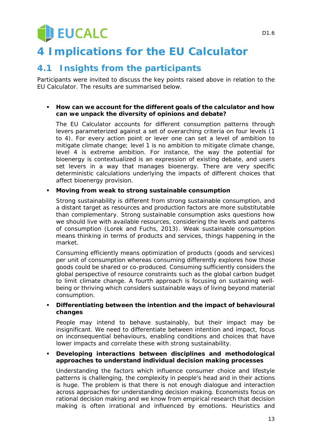# **U** EUCALC

## **4 Implications for the EU Calculator**

### **4.1 Insights from the participants**

Participants were invited to discuss the key points raised above in relation to the EU Calculator. The results are summarised below.

#### **How can we account for the different goals of the calculator and how can we unpack the diversity of opinions and debate?**

The EU Calculator accounts for different consumption patterns through levers parameterized against a set of overarching criteria on four levels (1 to 4). For every action point or lever one can set a level of ambition to mitigate climate change; level 1 is no ambition to mitigate climate change, level 4 is extreme ambition. For instance, the way the potential for bioenergy is contextualized is an expression of existing debate, and users set levers in a way that manages bioenergy. There are very specific deterministic calculations underlying the impacts of different choices that affect bioenergy provision.

#### **Moving from weak to strong sustainable consumption**

Strong sustainability is different from strong sustainable consumption, and a distant target as resources and production factors are more substitutable than complementary. Strong sustainable consumption asks questions how we should live with available resources, considering the levels and patterns of consumption (Lorek and Fuchs, 2013). Weak sustainable consumption means thinking in terms of products and services, things happening in the market.

Consuming efficiently means optimization of products (goods and services) per unit of consumption whereas consuming differently explores how those goods could be shared or co-produced. Consuming sufficiently considers the global perspective of resource constraints such as the global carbon budget to limit climate change. A fourth approach is focusing on sustaining wellbeing or thriving which considers sustainable ways of living beyond material consumption.

#### **Differentiating between the intention and the impact of behavioural changes**

People may intend to behave sustainably, but their impact may be insignificant. We need to differentiate between intention and impact, focus on inconsequential behaviours, enabling conditions and choices that have lower impacts and correlate these with strong sustainability.

#### **Developing interactions between disciplines and methodological approaches to understand individual decision making processes**

Understanding the factors which influence consumer choice and lifestyle patterns is challenging, the complexity in people's head and in their actions is huge. The problem is that there is not enough dialogue and interaction across approaches for understanding decision making. Economists focus on rational decision making and we know from empirical research that decision making is often irrational and influenced by emotions. Heuristics and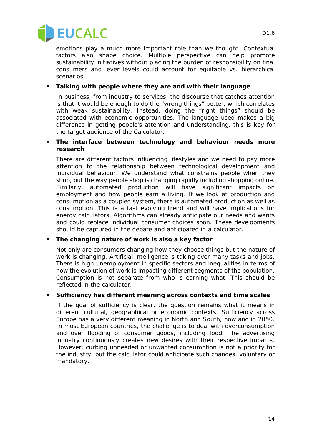

emotions play a much more important role than we thought. Contextual factors also shape choice. Multiple perspective can help promote sustainability initiatives without placing the burden of responsibility on final consumers and lever levels could account for equitable vs. hierarchical scenarios.

#### **Talking with people where they are and with their language**

In business, from industry to services, the discourse that catches attention is that it would be enough to do the "wrong things" better, which correlates with weak sustainability. Instead, doing the "right things" should be associated with economic opportunities. The language used makes a big difference in getting people's attention and understanding, this is key for the target audience of the Calculator.

#### **The interface between technology and behaviour needs more research**

There are different factors influencing lifestyles and we need to pay more attention to the relationship between technological development and individual behaviour. We understand what constrains people when they shop, but the way people shop is changing rapidly including shopping online. Similarly, automated production will have significant impacts on employment and how people earn a living. If we look at production and consumption as a coupled system, there is automated production as well as consumption. This is a fast evolving trend and will have implications for energy calculators. Algorithms can already anticipate our needs and wants and could replace individual consumer choices soon. These developments should be captured in the debate and anticipated in a calculator.

#### **The changing nature of work is also a key factor**

Not only are consumers changing how they choose things but the nature of work is changing. Artificial intelligence is taking over many tasks and jobs. There is high unemployment in specific sectors and inequalities in terms of how the evolution of work is impacting different segments of the population. Consumption is not separate from who is earning what. This should be reflected in the calculator.

#### **Sufficiency has different meaning across contexts and time scales**

If the goal of sufficiency is clear, the question remains what it means in different cultural, geographical or economic contexts. Sufficiency across Europe has a very different meaning in North and South, now and in 2050. In most European countries, the challenge is to deal with overconsumption and over flooding of consumer goods, including food. The advertising industry continuously creates new desires with their respective impacts. However, curbing unneeded or unwanted consumption is not a priority for the industry, but the calculator could anticipate such changes, voluntary or mandatory.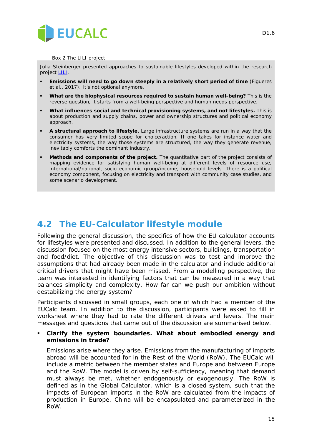

#### *Box 2 The LILI project*

Julia Steinberger presented approaches to sustainable lifestyles developed within the research project [LILI.](http://lili.leeds.ac.uk/)

- **Emissions will need to go down steeply in a relatively short period of time** (Figueres et al., 2017). It's not optional anymore.
- **What are the biophysical resources required to sustain human well-being?** This is the reverse question, it starts from a well-being perspective and human needs perspective.
- **What influences social and technical provisioning systems, and not lifestyles.** This is about production and supply chains, power and ownership structures and political economy approach.
- **A structural approach to lifestyle.** Large infrastructure systems are run in a way that the consumer has very limited scope for choice/action. If one takes for instance water and electricity systems, the way those systems are structured, the way they generate revenue, inevitably comforts the dominant industry.
- **Methods and components of the project.** The quantitative part of the project consists of mapping evidence for satisfying human well-being at different levels of resource use, international/national, socio economic group/income, household levels. There is a political economy component, focusing on electricity and transport with community case studies, and some scenario development.

## **4.2 The EU-Calculator lifestyle module**

Following the general discussion, the specifics of how the EU calculator accounts for lifestyles were presented and discussed. In addition to the general levers, the discussion focused on the most energy intensive sectors, buildings, transportation and food/diet. The objective of this discussion was to test and improve the assumptions that had already been made in the calculator and include additional critical drivers that might have been missed. From a modelling perspective, the team was interested in identifying factors that can be measured in a way that balances simplicity and complexity. How far can we push our ambition without destabilizing the energy system?

Participants discussed in small groups, each one of which had a member of the EUCalc team. In addition to the discussion, participants were asked to fill in worksheet where they had to rate the different drivers and levers. The main messages and questions that came out of the discussion are summarised below.

 **Clarify the system boundaries. What about embodied energy and emissions in trade?**

Emissions arise where they arise. Emissions from the manufacturing of imports abroad will be accounted for in the Rest of the World (RoW). The EUCalc will include a metric between the member states and Europe and between Europe and the RoW. The model is driven by self-sufficiency, meaning that demand must always be met, whether endogenously or exogenously. The RoW is defined as in the Global Calculator, which is a closed system, such that the impacts of European imports in the RoW are calculated from the impacts of production in Europe. China will be encapsulated and parameterized in the RoW.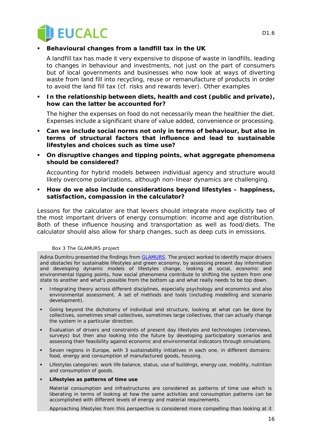

#### **Behavioural changes from a landfill tax in the UK**

A landfill tax has made it very expensive to dispose of waste in landfills, leading to changes in behaviour and investments, not just on the part of consumers but of local governments and businesses who now look at ways of diverting waste from land fill into recycling, reuse or remanufacture of products in order to avoid the land fill tax (cf. risks and rewards lever). Other examples

#### **In the relationship between diets, health and cost (public and private), how can the latter be accounted for?**

The higher the expenses on food do not necessarily mean the healthier the diet. Expenses include a significant share of value added, convenience or processing.

- **Can we include social norms not only in terms of behaviour, but also in terms of structural factors that influence and lead to sustainable lifestyles and choices such as time use?**
- **On disruptive changes and tipping points, what aggregate phenomena should be considered?**

Accounting for hybrid models between individual agency and structure would likely overcome polarizations, although non-linear dynamics are challenging.

 **How do we also include considerations beyond lifestyles – happiness, satisfaction, compassion in the calculator?** 

Lessons for the calculator are that levers should integrate more explicitly two of the most important drivers of energy consumption: income and age distribution. Both of these influence housing and transportation as well as food/diets. The calculator should also allow for sharp changes, such as deep cuts in emissions.

#### *Box 3 The GLAMURS project*

Adina Dumitru presented the findings from **GLAMURS**. The project worked to identify major drivers and obstacles for sustainable lifestyles and green economy, by assessing present day information and developing dynamic models of lifestyles change, looking at social, economic and environmental tipping points, how social phenomena contribute to shifting the system from one state to another and what's possible from the bottom up and what really needs to be top down.

- Integrating theory across different disciplines, especially psychology and economics and also environmental assessment. A set of methods and tools (including modelling and scenario development).
- Going beyond the dichotomy of individual and structure, looking at what can be done by collectives, sometimes small collectives, sometimes large collectives, that can actually change the system in a particular direction.
- Evaluation of drivers and constraints of present day lifestyles and technologies (interviews, surveys) but then also looking into the future by developing participatory scenarios and assessing their feasibility against economic and environmental indicators through simulations.
- Seven regions in Europe, with 3 sustainability initiatives in each one, in different domains: food, energy and consumption of manufactured goods, housing.
- Lifestyles categories: work life balance, status, use of buildings, energy use, mobility, nutrition and consumption of goods.

#### **Lifestyles as patterns of time use**

Material consumption and infrastructures are considered as patterns of time use which is liberating in terms of looking at how the same activities and consumption patterns can be accomplished with different levels of energy and material requirements.

Approaching lifestyles from this perspective is considered more compelling than looking at it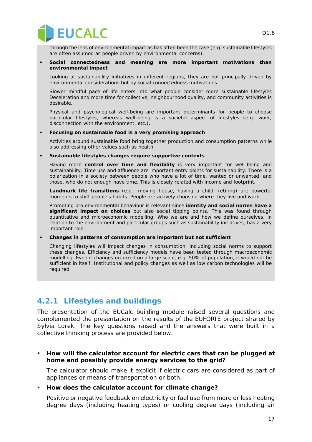

through the lens of environmental impact as has often been the case (e.g. sustainable lifestyles are often assumed as people driven by environmental concerns).

#### **Social connectedness and meaning are more important motivations than environmental impact**

Looking at sustainability initiatives in different regions, they are not principally driven by environmental considerations but by social connectedness motivations.

Slower mindful pace of life enters into what people consider more sustainable lifestyles Deceleration and more time for collective, neighbourhood quality, and community activities is desirable.

Physical and psychological well-being are important determinants for people to choose particular lifestyles, whereas well-being is a societal aspect of lifestyles (e.g. work, disconnection with the environment, etc.).

#### **Focusing on sustainable food is a very promising approach**

Activities around sustainable food bring together production and consumption patterns while also addressing other values such as health.

#### **Sustainable lifestyles changes require supportive contexts**

Having more **control over time and flexibility** is very important for well-being and sustainability. Time use and affluence are important entry points for sustainability. There is a polarization in a society between people who have a lot of time, wanted or unwanted, and those, who do not enough have time. This is closely related with income and footprint.

**Landmark life transitions** (e.g., moving house, having a child, retiring) are powerful moments to shift people's habits. People are actively choosing where they live and work.

Promoting pro environmental behaviour is relevant since **identity and social norms have a significant impact on choices** but also social tipping points. This was found through quantitative and microeconomic modelling. Who we are and how we define ourselves, in relation to the environment and particular groups such as sustainability initiatives, has a very important role.

#### **Changes in patterns of consumption are important but not sufficient**

Changing lifestyles will impact changes in consumption, including social norms to support these changes. Efficiency and sufficiency models have been tested through macroeconomic modelling. Even if changes occurred on a large scale, e.g. 50% of population, it would not be sufficient in itself. Institutional and policy changes as well as low carbon technologies will be required.

#### **4.2.1 Lifestyles and buildings**

The presentation of the EUCalc building module raised several questions and complemented the presentation on the results of the EUFORIE project shared by Sylvia Lorek. The key questions raised and the answers that were built in a collective thinking process are provided below.

 **How will the calculator account for electric cars that can be plugged at home and possibly provide energy services to the grid?**

The calculator should make it explicit if electric cars are considered as part of appliances or means of transportation or both.

**How does the calculator account for climate change?**

Positive or negative feedback on electricity or fuel use from more or less heating degree days (including heating types) or cooling degree days (including air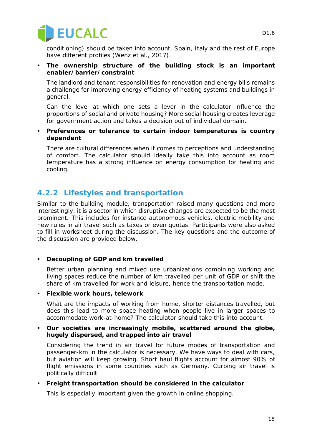

conditioning) should be taken into account. Spain, Italy and the rest of Europe have different profiles (Wenz et al., 2017).

 **The ownership structure of the building stock is an important enabler/barrier/constraint** 

The landlord and tenant responsibilities for renovation and energy bills remains a challenge for improving energy efficiency of heating systems and buildings in general.

Can the level at which one sets a lever in the calculator influence the proportions of social and private housing? More social housing creates leverage for government action and takes a decision out of individual domain.

 **Preferences or tolerance to certain indoor temperatures is country dependent**

There are cultural differences when it comes to perceptions and understanding of comfort. The calculator should ideally take this into account as room temperature has a strong influence on energy consumption for heating and cooling.

#### **4.2.2 Lifestyles and transportation**

Similar to the building module, transportation raised many questions and more interestingly, it is a sector in which disruptive changes are expected to be the most prominent. This includes for instance autonomous vehicles, electric mobility and new rules in air travel such as taxes or even quotas. Participants were also asked to fill in worksheet during the discussion. The key questions and the outcome of the discussion are provided below.

#### **Decoupling of GDP and km travelled**

Better urban planning and mixed use urbanizations combining working and living spaces reduce the number of km travelled per unit of GDP or shift the share of km travelled for work and leisure, hence the transportation mode.

#### **Flexible work hours, telework**

What are the impacts of working from home, shorter distances travelled, but does this lead to more space heating when people live in larger spaces to accommodate work-at-home? The calculator should take this into account.

#### **Our societies are increasingly mobile, scattered around the globe, hugely dispersed, and trapped into air travel**

Considering the trend in air travel for future modes of transportation and passenger-km in the calculator is necessary. We have ways to deal with cars, but aviation will keep growing. Short haul flights account for almost 90% of flight emissions in some countries such as Germany. Curbing air travel is politically difficult.

#### **Freight transportation should be considered in the calculator**

This is especially important given the growth in online shopping.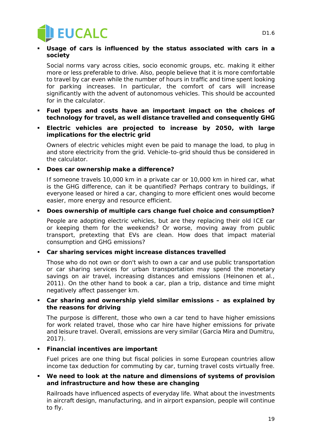

#### **Usage of cars is influenced by the status associated with cars in a society**

Social norms vary across cities, socio economic groups, etc. making it either more or less preferable to drive. Also, people believe that it is more comfortable to travel by car even while the number of hours in traffic and time spent looking for parking increases. In particular, the comfort of cars will increase significantly with the advent of autonomous vehicles. This should be accounted for in the calculator.

- **Fuel types and costs have an important impact on the choices of technology for travel, as well distance travelled and consequently GHG**
- **Electric vehicles are projected to increase by 2050, with large implications for the electric grid**

Owners of electric vehicles might even be paid to manage the load, to plug in and store electricity from the grid. Vehicle-to-grid should thus be considered in the calculator.

**Does car ownership make a difference?**

If someone travels 10,000 km in a private car or 10,000 km in hired car, what is the GHG difference, can it be quantified? Perhaps contrary to buildings, if everyone leased or hired a car, changing to more efficient ones would become easier, more energy and resource efficient.

#### **Does ownership of multiple cars change fuel choice and consumption?**

People are adopting electric vehicles, but are they replacing their old ICE car or keeping them for the weekends? Or worse, moving away from public transport, pretexting that EVs are clean. How does that impact material consumption and GHG emissions?

#### **Car sharing services might increase distances travelled**

Those who do not own or don't wish to own a car and use public transportation or car sharing services for urban transportation may spend the monetary savings on air travel, increasing distances and emissions (Heinonen et al., 2011). On the other hand to book a car, plan a trip, distance and time might negatively affect passenger km.

#### **Car sharing and ownership yield similar emissions – as explained by the reasons for driving**

The purpose is different, those who own a car tend to have higher emissions for work related travel, those who car hire have higher emissions for private and leisure travel. Overall, emissions are very similar (Garcia Mira and Dumitru, 2017).

#### **Financial incentives are important**

Fuel prices are one thing but fiscal policies in some European countries allow income tax deduction for commuting by car, turning travel costs virtually free.

#### **We need to look at the nature and dimensions of systems of provision and infrastructure and how these are changing**

Railroads have influenced aspects of everyday life. What about the investments in aircraft design, manufacturing, and in airport expansion, people will continue to fly.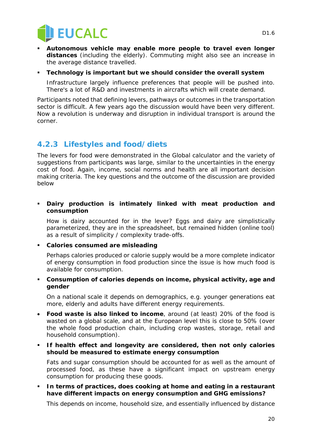

- **Autonomous vehicle may enable more people to travel even longer distances** (including the elderly). Commuting might also see an increase in the average distance travelled.
- **Technology is important but we should consider the overall system**

Infrastructure largely influence preferences that people will be pushed into. There's a lot of R&D and investments in aircrafts which will create demand.

Participants noted that defining levers, pathways or outcomes in the transportation sector is difficult. A few years ago the discussion would have been very different. Now a revolution is underway and disruption in individual transport is around the corner.

#### **4.2.3 Lifestyles and food/diets**

The levers for food were demonstrated in the Global calculator and the variety of suggestions from participants was large, similar to the uncertainties in the energy cost of food. Again, income, social norms and health are all important decision making criteria. The key questions and the outcome of the discussion are provided below

 **Dairy production is intimately linked with meat production and consumption**

How is dairy accounted for in the lever? Eggs and dairy are simplistically parameterized, they are in the spreadsheet, but remained hidden (online tool) as a result of simplicity / complexity trade-offs.

**Calories consumed are misleading**

Perhaps calories produced or calorie supply would be a more complete indicator of energy consumption in food production since the issue is how much food is available for consumption.

 **Consumption of calories depends on income, physical activity, age and gender**

On a national scale it depends on demographics, e.g. younger generations eat more, elderly and adults have different energy requirements.

- **Food waste is also linked to income**, around (at least) 20% of the food is wasted on a global scale, and at the European level this is close to 50% (over the whole food production chain, including crop wastes, storage, retail and household consumption).
- **If health effect and longevity are considered, then not only calories should be measured to estimate energy consumption**

Fats and sugar consumption should be accounted for as well as the amount of processed food, as these have a significant impact on upstream energy consumption for producing these goods.

 **In terms of practices, does cooking at home and eating in a restaurant have different impacts on energy consumption and GHG emissions?**

This depends on income, household size, and essentially influenced by distance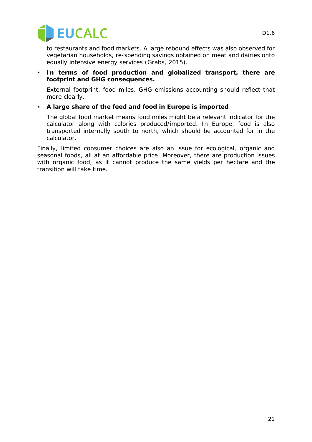

to restaurants and food markets. A large rebound effects was also observed for vegetarian households, re-spending savings obtained on meat and dairies onto equally intensive energy services (Grabs, 2015).

 **In terms of food production and globalized transport, there are footprint and GHG consequences.**

External footprint, food miles, GHG emissions accounting should reflect that more clearly.

#### **A large share of the feed and food in Europe is imported**

The global food market means food miles might be a relevant indicator for the calculator along with calories produced/imported. In Europe, food is also transported internally south to north, which should be accounted for in the calculator**.**

Finally, limited consumer choices are also an issue for ecological, organic and seasonal foods, all at an affordable price. Moreover, there are production issues with organic food, as it cannot produce the same yields per hectare and the transition will take time.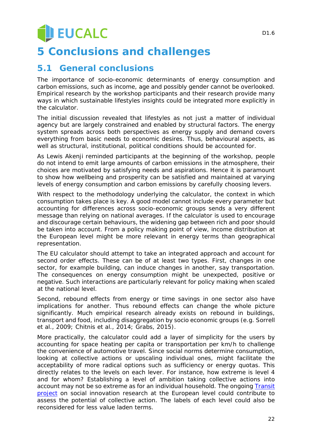# **U** EUCALC

## **5 Conclusions and challenges**

## **5.1 General conclusions**

The importance of socio-economic determinants of energy consumption and carbon emissions, such as income, age and possibly gender cannot be overlooked. Empirical research by the workshop participants and their research provide many ways in which sustainable lifestyles insights could be integrated more explicitly in the calculator.

The initial discussion revealed that lifestyles as not just a matter of individual agency but are largely constrained and enabled by structural factors. The energy system spreads across both perspectives as energy supply and demand covers everything from basic needs to economic desires. Thus, behavioural aspects, as well as structural, institutional, political conditions should be accounted for.

As Lewis Akenji reminded participants at the beginning of the workshop, people do not intend to emit large amounts of carbon emissions in the atmosphere, their choices are motivated by satisfying needs and aspirations. Hence it is paramount to show how wellbeing and prosperity can be satisfied and maintained at varying levels of energy consumption and carbon emissions by carefully choosing levers.

With respect to the methodology underlying the calculator, the context in which consumption takes place is key. A good model cannot include every parameter but accounting for differences across socio-economic groups sends a very different message than relying on national averages. If the calculator is used to encourage and discourage certain behaviours, the widening gap between rich and poor should be taken into account. From a policy making point of view, income distribution at the European level might be more relevant in energy terms than geographical representation.

The EU calculator should attempt to take an integrated approach and account for second order effects. These can be of at least two types. First, changes in one sector, for example building, can induce changes in another, say transportation. The consequences on energy consumption might be unexpected, positive or negative. Such interactions are particularly relevant for policy making when scaled at the national level.

Second, rebound effects from energy or time savings in one sector also have implications for another. Thus rebound effects can change the whole picture significantly. Much empirical research already exists on rebound in buildings, transport and food, including disaggregation by socio economic groups (e.g. Sorrell et al., 2009; Chitnis et al., 2014; Grabs, 2015).

More practically, the calculator could add a layer of simplicity for the users by accounting for space heating per capita or transportation per km/h to challenge the convenience of automotive travel. Since social norms determine consumption, looking at collective actions or upscaling individual ones, might facilitate the acceptability of more radical options such as sufficiency or energy quotas. This directly relates to the levels on each lever. For instance, how extreme is level 4 and for whom? Establishing a level of ambition taking collective actions into account may not be so extreme as for an individual household. The ongoing [Transit](http://www.transitsocialinnovation.eu/)  [project](http://www.transitsocialinnovation.eu/) on social innovation research at the European level could contribute to assess the potential of collective action. The labels of each level could also be reconsidered for less value laden terms.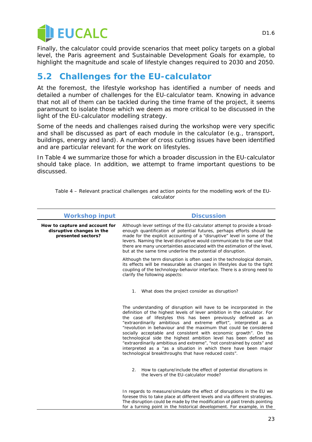

Finally, the calculator could provide scenarios that meet policy targets on a global level, the Paris agreement and Sustainable Development Goals for example, to highlight the magnitude and scale of lifestyle changes required to 2030 and 2050.

## **5.2 Challenges for the EU-calculator**

At the foremost, the lifestyle workshop has identified a number of needs and detailed a number of challenges for the EU-calculator team. Knowing in advance that not all of them can be tackled during the time frame of the project, it seems paramount to isolate those which we deem as more critical to be discussed in the light of the EU-calculator modelling strategy.

Some of the needs and challenges raised during the workshop were very specific and shall be discussed as part of each module in the calculator (e.g., transport, buildings, energy and land). A number of cross cutting issues have been identified and are particular relevant for the work on lifestyles.

In [Table 4](#page-22-0) we summarize those for which a broader discussion in the EU-calculator should take place. In addition, we attempt to frame important questions to be discussed.

| <b>Workshop input</b>                                                             | <b>Discussion</b>                                                                                                                                                                                                                                                                                                                                                                                                                                                                                                                                                                                                                                                                                          |
|-----------------------------------------------------------------------------------|------------------------------------------------------------------------------------------------------------------------------------------------------------------------------------------------------------------------------------------------------------------------------------------------------------------------------------------------------------------------------------------------------------------------------------------------------------------------------------------------------------------------------------------------------------------------------------------------------------------------------------------------------------------------------------------------------------|
| How to capture and account for<br>disruptive changes in the<br>presented sectors? | Although lever settings of the EU-calculator attempt to provide a broad-<br>enough quantification of potential futures, perhaps efforts should be<br>made for the explicit accounting of a "disruptive" level in some of the<br>levers. Naming the level disruptive would communicate to the user that<br>there are many uncertainties associated with the estimation of the level,<br>but at the same time underline the potential of disruption.                                                                                                                                                                                                                                                         |
|                                                                                   | Although the term disruption is often used in the technological domain,<br>its effects will be measurable as changes in lifestyles due to the tight<br>coupling of the technology-behavior interface. There is a strong need to<br>clarify the following aspects:                                                                                                                                                                                                                                                                                                                                                                                                                                          |
|                                                                                   | What does the project consider as disruption?<br>1.                                                                                                                                                                                                                                                                                                                                                                                                                                                                                                                                                                                                                                                        |
|                                                                                   | The understanding of disruption will have to be incorporated in the<br>definition of the highest levels of lever ambition in the calculator. For<br>the case of lifestyles this has been previously defined as an<br>"extraordinarily ambitious and extreme effort", interpreted as a<br>"revolution in behaviour and the maximum that could be considered<br>socially acceptable and consistent with economic growth". On the<br>technological side the highest ambition level has been defined as<br>"extraordinarily ambitious and extreme", "not constrained by costs" and<br>interpreted as a "as a situation in which there have been major<br>technological breakthroughs that have reduced costs". |
|                                                                                   | How to capture/include the effect of potential disruptions in<br>2.<br>the levers of the EU-calculator mode?                                                                                                                                                                                                                                                                                                                                                                                                                                                                                                                                                                                               |
|                                                                                   | In regards to measure/simulate the effect of disruptions in the EU we<br>foresee this to take place at different levels and via different strategies.<br>The disruption could be made by the modification of past trends pointing<br>for a turning point in the historical development. For example, in the                                                                                                                                                                                                                                                                                                                                                                                                |

<span id="page-22-0"></span>*Table 4 – Relevant practical challenges and action points for the modelling work of the EUcalculator*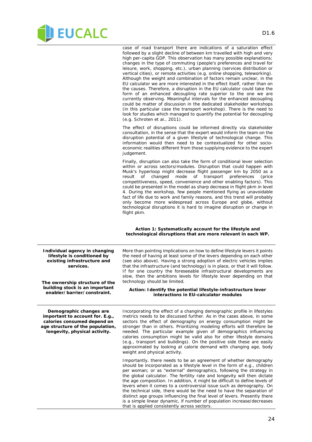

case of road transport there are indications of a saturation effect followed by a slight decline of between km travelled with high and very high per-capita GDP. This observation has many possible explanations; changes in the type of commuting (people's preferences and travel for leisure, work, shopping, etc.), urban planning (services distribution or vertical cities), or remote activities (e.g. online shopping, teleworking). Although the weight and combination of factors remain unclear, in the EU calculator we are more interested in the effect itself, rather than on the causes. Therefore, a disruption in the EU calculator could take the form of an enhanced decoupling rate superior to the one we are currently observing. Meaningful intervals for the enhanced decoupling could be matter of discussion in the dedicated stakeholder workshops (in this particular case the transport workshop). There is the need to look for studies which managed to quantify the potential for decoupling (e.g. Schroten et al., 2011).

The effect of disruptions could be informed directly via stakeholder consultation, in the sense that the expert would inform the team on the disruption potential of a given lifestyle of technological change. This information would then need to be contextualized for other socioeconomic realities different from those supplying evidence to the expert judgement.

Finally, disruption can also take the form of conditional lever selection within or across sectors/modules. Disruption that could happen with Musk's hyperloop might decrease flight passenger km by 2050 as a<br>result of changed mode of transport preferences (price of changed mode of transport preferences competitiveness, speed, convenience and other enabling factors). This could be presented in the model as sharp decrease in flight pkm in level 4. During the workshop, few people mentioned flying as unavoidable fact of life due to work and family reasons, and this trend will probably only become more widespread across Europe and globe, without technological disruptions it is hard to imagine disruption or change in flight pkm.

#### *Action 1: Systematically account for the lifestyle and technological disruptions that are more relevant in each WP.*

**Individual agency in changing lifestyle is conditioned by existing infrastructure and services. The ownership structure of the building stock is an important enabler/barrier/constraint.** More than pointing implications on how to define lifestyle levers it points the need of having at least some of the levers depending on each other (see also above). Having a strong adoption of electric vehicles implies that the infrastructure (and technology) is in place, or that it will follow. If for one country the foreseeable infrastructural developments are slow, then the ambitions levels for lifestyle lever depending on that technology should be limited. *Action: Identify the potential lifestyle-infrastructure lever interactions in EU-calculator modules* **Demographic changes are important to account for. E.g., calories consumed depend on age structure of the population, longevity, physical activity.** Incorporating the effect of a changing demographic profile in lifestyles metrics needs to be discussed further. As in the cases above, in some sectors the effect of demography on energy consumption might be stronger than in others. Prioritizing modeling efforts will therefore be needed. The particular example given of demographics influencing calories consumption might be valid also for other lifestyle domains (e.g., transport and buildings). On the positive side these are easily approximated by looking at calorie demand with changing age, body weight and physical activity. Importantly, there needs to be an agreement of whether demography should be incorporated as a lifestyle level in the form of e.g., children per woman; or as "external" demographics, following the strategy in the global calculator. The fertility rate and longevity will then dictate the age composition. In addition, it might be difficult to define levels of levers when it comes to a controversial issue such as demography. On the technical side, there would be the need to have the separation of distinct age groups influencing the final level of levers. Presently there is a simple linear dynamic, if number of population increase/decreases that is applied consistently across sectors.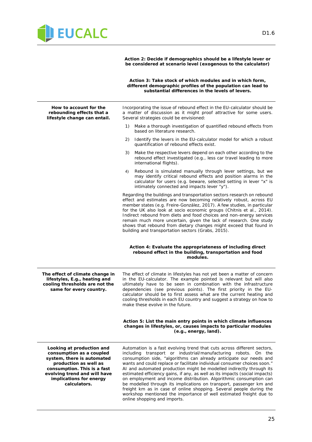

*Action 2: Decide if demographics should be a lifestyle lever or be considered at scenario level (exogenous to the calculator)*

*Action 3: Take stock of which modules and in which form, different demographic profiles of the population can lead to substantial differences in the levels of levers.* **How to account for the rebounding effects that a lifestyle change can entail.** Incorporating the issue of rebound effect in the EU-calculator should be a matter of discussion as it might proof attractive for some users. Several strategies could be envisioned: 1) Make a thorough investigation of quantified rebound effects from based on literature research. 2) Identify the levers in the EU-calculator model for which a robust quantification of rebound effects exist. 3) Make the respective levers depend on each other according to the rebound effect investigated (e.g., less car travel leading to more international flights). 4) Rebound is simulated manually through lever settings, but we may identify critical rebound effects and position alarms in the calculator for users (e.g. beware, selected setting in lever "x" is intimately connected and impacts lever "y"). Regarding the buildings and transportation sectors research on rebound effect and estimates are now becoming relatively robust, across EU member states (e.g. Freire-González, 2017). A few studies, in particular for the UK also look at socio economic groups (Chitnis et al., 2014). Indirect rebound from diets and food choices and non-energy services remain much more uncertain, given the lack of research. One study shows that rebound from dietary changes might exceed that found in building and transportation sectors (Grabs, 2015).

#### *Action 4: Evaluate the appropriateness of including direct rebound effect in the building, transportation and food modules.*

**The effect of climate change in lifestyles, E.g., heating and cooling thresholds are not the same for every country.**

The effect of climate in lifestyles has not yet been a matter of concern in the EU-calculator. The example pointed is relevant but will also ultimately have to be seen in combination with the infrastructure dependencies (see previous points). The first priority in the EUcalculator should be to first assess what are the current heating and cooling thresholds in each EU country and suggest a strategy on how to make these evolve in the future.

#### *Action 5: List the main entry points in which climate influences changes in lifestyles, or, causes impacts to particular modules (e.g., energy, land).*

**Looking at production and consumption as a coupled system, there is automated production as well as consumption. This is a fast evolving trend and will have implications for energy calculators.**

Automation is a fast evolving trend that cuts across different sectors, including transport or industrial/manufacturing robots. On the consumption side, "algorithms can already anticipate our needs and wants and could replace or facilitate individual consumer choices soon." AI and automated production might be modelled indirectly through its estimated efficiency gains, if any, as well as its impacts (social impacts) on employment and income distribution. Algorithmic consumption can be modelled through its implications on transport, passenger km and freight km as in case of online shopping. Several people during the workshop mentioned the importance of well estimated freight due to online shopping and imports.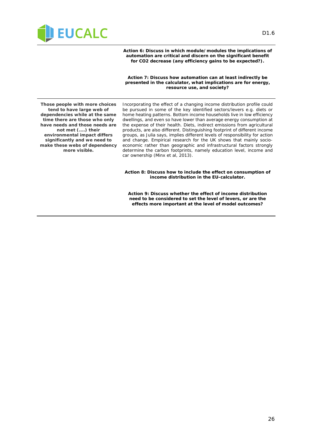

*Action 6: Discuss in which module/modules the implications of automation are critical and discern on the significant benefit for CO2 decrease (any efficiency gains to be expected?).*

*Action 7: Discuss how automation can at least indirectly be presented in the calculator, what implications are for energy, resource use, and society?*

**Those people with more choices tend to have large web of dependencies while at the same time there are those who only have needs and those needs are not met (....) their environmental impact differs significantly and we need to make these webs of dependency more visible.**

Incorporating the effect of a changing income distribution profile could be pursued in some of the key identified sectors/levers e.g. diets or home heating patterns. Bottom income households live in low efficiency dwellings, and even so have lower than average energy consumption at the expense of their health. Diets, indirect emissions from agricultural products, are also different. Distinguishing footprint of different income groups, as Julia says, implies different levels of responsibility for action and change. Empirical research for the UK shows that mainly socioeconomic rather than geographic and infrastructural factors strongly determine the carbon footprints, namely education level, income and car ownership (Minx et al, 2013).

*Action 8: Discuss how to include the effect on consumption of income distribution in the EU-calculator.*

*Action 9: Discuss whether the effect of income distribution need to be considered to set the level of levers, or are the effects more important at the level of model outcomes?*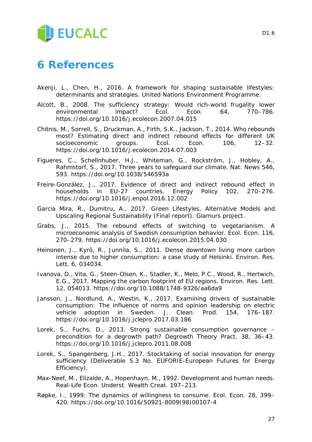# **EUCALC**

## **6 References**

- Akenji, L., Chen, H., 2016. A framework for shaping sustainable lifestyles: determinants and strategies. United Nations Environment Programme.
- Alcott, B., 2008. The sufficiency strategy: Would rich-world frugality lower environmental impact? Ecol. Econ. 64, 770–786. https://doi.org/10.1016/j.ecolecon.2007.04.015
- Chitnis, M., Sorrell, S., Druckman, A., Firth, S.K., Jackson, T., 2014. Who rebounds most? Estimating direct and indirect rebound effects for different UK<br>socioeconomic qroups. Ecol. Econ. 106. 12–32. socioeconomic groups. Ecol. Econ. 106, https://doi.org/10.1016/j.ecolecon.2014.07.003
- Figueres, C., Schellnhuber, H.J., Whiteman, G., Rockström, J., Hobley, A., Rahmstorf, S., 2017. Three years to safeguard our climate. Nat. News 546, 593. https://doi.org/10.1038/546593a
- Freire-González, J., 2017. Evidence of direct and indirect rebound effect in households in EU-27 countries. Energy Policy 102, 270–276. https://doi.org/10.1016/j.enpol.2016.12.002
- Garcia Mira, R., Dumitru, A., 2017. Green Lifestyles, Alternative Models and Upscaling Regional Sustainability (Final report). Glamurs project.
- Grabs, J., 2015. The rebound effects of switching to vegetarianism. A microeconomic analysis of Swedish consumption behavior. Ecol. Econ. 116, 270–279. https://doi.org/10.1016/j.ecolecon.2015.04.030
- Heinonen, J., Kyrö, R., Junnila, S., 2011. Dense downtown living more carbon intense due to higher consumption: a case study of Helsinki. Environ. Res. Lett. 6, 034034.
- Ivanova, D., Vita, G., Steen-Olsen, K., Stadler, K., Melo, P.C., Wood, R., Hertwich, E.G., 2017. Mapping the carbon footprint of EU regions. Environ. Res. Lett. 12, 054013. https://doi.org/10.1088/1748-9326/aa6da9
- Jansson, J., Nordlund, A., Westin, K., 2017. Examining drivers of sustainable consumption: The influence of norms and opinion leadership on electric vehicle adoption in Sweden. J. Clean. Prod. 154, 176–187. https://doi.org/10.1016/j.jclepro.2017.03.186
- Lorek, S., Fuchs, D., 2013. Strong sustainable consumption governance precondition for a degrowth path? Degrowth Theory Pract. 38, 36–43. https://doi.org/10.1016/j.jclepro.2011.08.008
- Lorek, S., Spangenberg, J.H., 2017. Stocktaking of social innovation for energy sufficiency (Deliverable 5.3 No. EUFORIE-European Futures for Energy Efficiency).
- Max-Neef, M., Elizalde, A., Hopenhayn, M., 1992. Development and human needs. Real-Life Econ. Underst. Wealth Creat. 197–213.
- Røpke, I., 1999. The dynamics of willingness to consume. Ecol. Econ. 28, 399– 420. https://doi.org/10.1016/S0921-8009(98)00107-4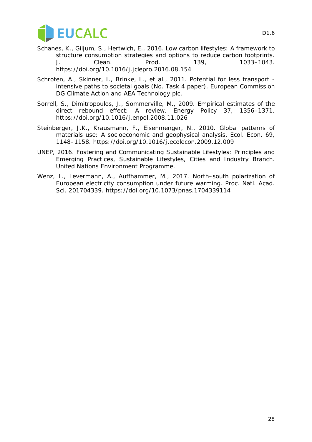

- Schanes, K., Giljum, S., Hertwich, E., 2016. Low carbon lifestyles: A framework to structure consumption strategies and options to reduce carbon footprints. J. Clean. Prod. 139, 1033–1043. https://doi.org/10.1016/j.jclepro.2016.08.154
- Schroten, A., Skinner, I., Brinke, L., et al., 2011. Potential for less transport intensive paths to societal goals (No. Task 4 paper). European Commission DG Climate Action and AEA Technology plc.
- Sorrell, S., Dimitropoulos, J., Sommerville, M., 2009. Empirical estimates of the direct rebound effect: A review. Energy Policy 37, 1356–1371. https://doi.org/10.1016/j.enpol.2008.11.026
- Steinberger, J.K., Krausmann, F., Eisenmenger, N., 2010. Global patterns of materials use: A socioeconomic and geophysical analysis. Ecol. Econ. 69, 1148–1158. https://doi.org/10.1016/j.ecolecon.2009.12.009
- UNEP, 2016. Fostering and Communicating Sustainable Lifestyles: Principles and Emerging Practices, Sustainable Lifestyles, Cities and Industry Branch. United Nations Environment Programme.
- Wenz, L., Levermann, A., Auffhammer, M., 2017. North–south polarization of European electricity consumption under future warming. Proc. Natl. Acad. Sci. 201704339. https://doi.org/10.1073/pnas.1704339114